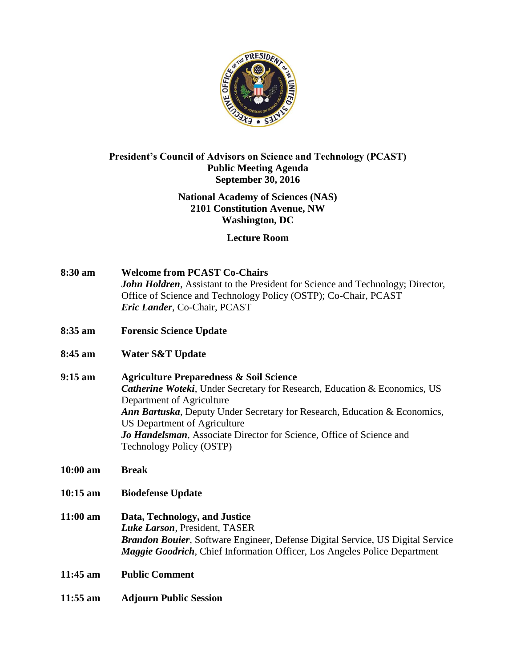

## **President's Council of Advisors on Science and Technology (PCAST) Public Meeting Agenda September 30, 2016**

# **National Academy of Sciences (NAS) 2101 Constitution Avenue, NW Washington, DC**

## **Lecture Room**

| 8:30 am | <b>Welcome from PCAST Co-Chairs</b>                                                    |
|---------|----------------------------------------------------------------------------------------|
|         | <b>John Holdren</b> , Assistant to the President for Science and Technology; Director, |
|         | Office of Science and Technology Policy (OSTP); Co-Chair, PCAST                        |
|         | <i>Eric Lander</i> , Co-Chair, PCAST                                                   |

- **8:35 am Forensic Science Update**
- **8:45 am Water S&T Update**
- **9:15 am Agriculture Preparedness & Soil Science**  *Catherine Woteki*, Under Secretary for Research, Education & Economics, US Department of Agriculture *Ann Bartuska*, Deputy Under Secretary for Research, Education & Economics, US Department of Agriculture *Jo Handelsman*, Associate Director for Science, Office of Science and Technology Policy (OSTP)
- **10:00 am Break**
- **10:15 am Biodefense Update**
- **11:00 am Data, Technology, and Justice**  *Luke Larson*, President, TASER *Brandon Bouier*, Software Engineer, Defense Digital Service, US Digital Service *Maggie Goodrich*, Chief Information Officer, Los Angeles Police Department
- **11:45 am Public Comment**
- **11:55 am Adjourn Public Session**